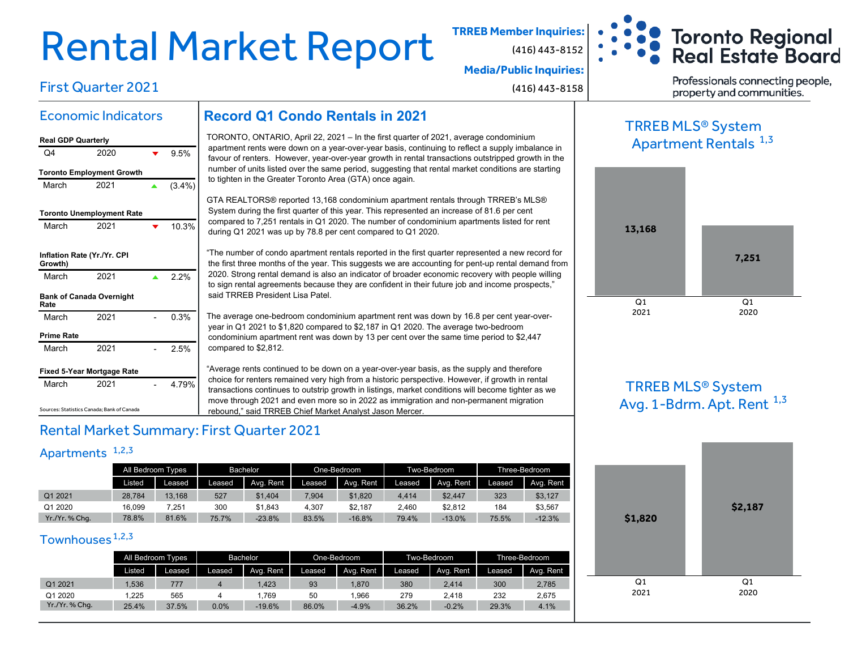# Rental Market Report **TRREB Member Inquiries:**

(416) 443-8152

**Media/Public Inquiries:**

(416) 443-8158

**Toronto Regional Real Estate Board** Professionals connecting people,

property and communities.

#### Economic Indicators

First Quarter 2021

| <b>Real GDP Quarterly</b>              |                                   |           |
|----------------------------------------|-----------------------------------|-----------|
| O4                                     | 2020                              | 9.5%      |
| <b>Toronto Employment Growth</b>       |                                   |           |
| March                                  | 2021                              | $(3.4\%)$ |
| <b>Toronto Unemployment Rate</b>       |                                   |           |
| March                                  | 2021                              | 10.3%     |
| Inflation Rate (Yr./Yr. CPI<br>Growth) |                                   |           |
| March                                  | 2021                              | 22%       |
| Rate                                   | <b>Bank of Canada Overnight</b>   |           |
| March                                  | 2021                              | 0.3%      |
| <b>Prime Rate</b>                      |                                   |           |
| March                                  | 2021                              | 2.5%      |
|                                        | <b>Fixed 5-Year Mortgage Rate</b> |           |
| March                                  | 2021                              | 4 79%     |

#### **Record Q1 Condo Rentals in 2021**

TORONTO, ONTARIO, April 22, 2021 – In the first quarter of 2021, average condominium apartment rents were down on a year-over-year basis, continuing to reflect a supply imbalance in favour of renters. However, year-over-year growth in rental transactions outstripped growth in the number of units listed over the same period, suggesting that rental market conditions are starting to tighten in the Greater Toronto Area (GTA) once again.

GTA REALTORS® reported 13,168 condominium apartment rentals through TRREB's MLS® System during the first quarter of this year. This represented an increase of 81.6 per cent compared to 7,251 rentals in Q1 2020. The number of condominium apartments listed for rent during Q1 2021 was up by 78.8 per cent compared to Q1 2020.

"The number of condo apartment rentals reported in the first quarter represented a new record for the first three months of the year. This suggests we are accounting for pent-up rental demand from 2020. Strong rental demand is also an indicator of broader economic recovery with people willing to sign rental agreements because they are confident in their future job and income prospects," said TRREB President Lisa Patel.

The average one-bedroom condominium apartment rent was down by 16.8 per cent year-overyear in Q1 2021 to \$1,820 compared to \$2,187 in Q1 2020. The average two-bedroom condominium apartment rent was down by 13 per cent over the same time period to \$2,447 compared to \$2,812.

"Average rents continued to be down on a year-over-year basis, as the supply and therefore choice for renters remained very high from a historic perspective. However, if growth in rental transactions continues to outstrip growth in listings, market conditions will become tighter as we move through 2021 and even more so in 2022 as immigration and non-permanent migration rebound," said TRREB Chief Market Analyst Jason Mercer.

#### Rental Market Summary: First Quarter 2021

#### Apartments<sup>1,2,3</sup>

Sources: Statistics Canada; Bank of Canada

|              | All Bedroom Types |        | Bachelor |           |        | One-Bedroom |        | Two-Bedroom | Three-Bedroom |           |
|--------------|-------------------|--------|----------|-----------|--------|-------------|--------|-------------|---------------|-----------|
|              | <b>Listed</b>     | Leased | Leased   | Avg. Rent | Leased | Avg. Rent   | Leased | Avg. Rent   | Leased        | Avg. Rent |
| Q1 2021      | 28.784            | 13,168 | 527      | \$1,404   | 7.904  | \$1,820     | 4.414  | \$2,447     | 323           | \$3,127   |
| Q1 2020      | 16.099            | 7.251  | 300      | \$1.843   | 4.307  | \$2,187     | 2.460  | \$2.812     | 184           | \$3,567   |
| Yr./Yr.%Chq. | 78.8%             | 81.6%  | 75.7%    | $-23.8%$  | 83.5%  | $-16.8%$    | 79.4%  | $-13.0%$    | 75.5%         | $-12.3%$  |

#### Townhouses<sup>1,2,3</sup>

|              | All Bedroom Types |        | Bachelor |           |        | One-Bedroom |        | Two-Bedroom | Three-Bedroom |           |
|--------------|-------------------|--------|----------|-----------|--------|-------------|--------|-------------|---------------|-----------|
|              | Listed            | Leased | Leased   | Ava, Rent | Leased | Avg. Rent   | Leased | Avg. Rent   | Leased        | Avg. Rent |
| Q1 2021      | .536              | 777    |          | 1.423     | 93     | .870        | 380    | 2.414       | 300           | 2,785     |
| Q1 2020      | .225              | 565    |          | .769      | 50     | .966        | 279    | 2.418       | 232           | 2.675     |
| Yr./Yr.%Chq. | 25.4%             | 37.5%  | $0.0\%$  | $-19.6%$  | 86.0%  | $-4.9%$     | 36.2%  | $-0.2%$     | 29.3%         | 4.1%      |

### TRREB MLS® System Apartment Rentals <sup>1,3</sup>



#### TRREB MLS® System Avg. 1-Bdrm. Apt. Rent  $^{1,3}$

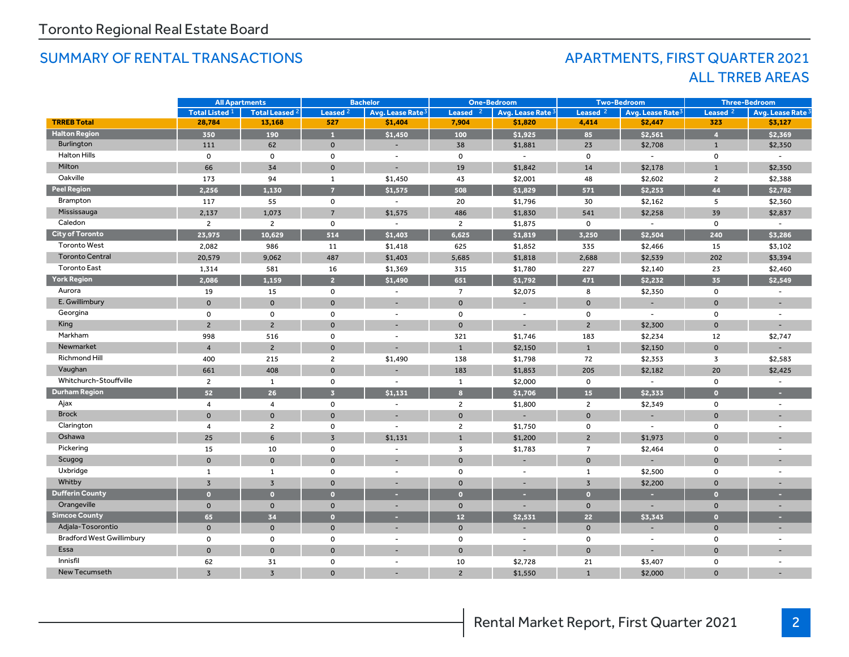#### SUMMARY OF RENTAL TRANSACTIONS APARTMENTS, FIRST QUARTER 2021

## ALL TRREB AREAS

|                                  | <b>All Apartments</b>     |                       | <b>Bachelor</b>         |                              | <b>One-Bedroom</b> |                          | <b>Two-Bedroom</b>  |                              | <b>Three-Bedroom</b> |                              |
|----------------------------------|---------------------------|-----------------------|-------------------------|------------------------------|--------------------|--------------------------|---------------------|------------------------------|----------------------|------------------------------|
|                                  | Total Listed <sup>1</sup> | <b>Total Leased 2</b> | Leased <sup>2</sup>     | Avg. Lease Rate <sup>3</sup> | <b>Leased</b>      | Avg. Lease Rate 3        | Leased <sub>2</sub> | Avg. Lease Rate <sup>3</sup> | Leased <sub>2</sub>  | Avg. Lease Rate <sup>3</sup> |
| <b>TRREB Total</b>               | 28,784                    | 13,168                | 527                     | \$1,404                      | 7,904              | \$1,820                  | 4,414               | \$2,447                      | 323                  | \$3,127                      |
| <b>Halton Region</b>             | 350                       | 190                   | $\mathbf{1}$            | \$1,450                      | 100                | \$1,925                  | 85                  | \$2,561                      | $\overline{4}$       | \$2,369                      |
| Burlington                       | 111                       | 62                    | $\mathbf 0$             | $\overline{\phantom{a}}$     | 38                 | \$1,881                  | 23                  | \$2,708                      | $\mathbf{1}$         | \$2,350                      |
| <b>Halton Hills</b>              | $\mathsf{o}$              | 0                     | 0                       | $\overline{\phantom{a}}$     | $\mathbf 0$        | $\sim$                   | $\mathbf{o}$        | $\sim$                       | $\mathsf 0$          |                              |
| Milton                           | 66                        | 34                    | $\mathbf 0$             | $\overline{\phantom{a}}$     | 19                 | \$1,842                  | 14                  | \$2,178                      | $\mathbf{1}$         | \$2,350                      |
| Oakville                         | 173                       | 94                    | $\mathbf{1}$            | \$1,450                      | 43                 | \$2,001                  | 48                  | \$2,602                      | $\overline{c}$       | \$2,388                      |
| <b>Peel Region</b>               | 2,256                     | 1,130                 | $\overline{7}$          | \$1,575                      | 508                | \$1,829                  | 571                 | \$2,253                      | 44                   | \$2,782                      |
| Brampton                         | 117                       | 55                    | 0                       | $\overline{\phantom{a}}$     | 20                 | \$1,796                  | 30                  | \$2,162                      | 5                    | \$2,360                      |
| Mississauga                      | 2,137                     | 1,073                 | $\overline{7}$          | \$1,575                      | 486                | \$1,830                  | 541                 | \$2,258                      | 39                   | \$2,837                      |
| Caledon                          | $\overline{2}$            | $\overline{c}$        | $\mathsf{o}$            | $\blacksquare$               | $\overline{2}$     | \$1,875                  | $\mathbf 0$         | $\overline{\phantom{a}}$     | $\mathbf 0$          |                              |
| <b>City of Toronto</b>           | 23.975                    | 10.629                | 514                     | \$1,403                      | 6.625              | \$1,819                  | 3.250               | \$2,504                      | 240                  | \$3,286                      |
| <b>Toronto West</b>              | 2,082                     | 986                   | 11                      | \$1,418                      | 625                | \$1,852                  | 335                 | \$2,466                      | 15                   | \$3,102                      |
| <b>Toronto Central</b>           | 20,579                    | 9,062                 | 487                     | \$1,403                      | 5,685              | \$1,818                  | 2,688               | \$2,539                      | 202                  | \$3,394                      |
| <b>Toronto East</b>              | 1,314                     | 581                   | 16                      | \$1,369                      | 315                | \$1,780                  | 227                 | \$2,140                      | 23                   | \$2,460                      |
| <b>York Region</b>               | 2,086                     | 1,159                 | $\overline{2}$          | \$1,490                      | 651                | \$1,792                  | 471                 | \$2.232                      | 35                   | \$2,549                      |
| Aurora                           | 19                        | 15                    | 0                       | $\overline{\phantom{a}}$     | $\overline{7}$     | \$2,075                  | 8                   | \$2,350                      | $\mathsf 0$          | $\overline{\phantom{a}}$     |
| E. Gwillimbury                   | $\mathbf{0}$              | $\mathbf 0$           | $\mathbf 0$             | $\overline{\phantom{a}}$     | $\mathsf{O}$       | ٠                        | $\mathbf{0}$        | $\overline{\phantom{a}}$     | $\mathbf{0}$         |                              |
| Georgina                         | $\mathbf 0$               | $\mathbf 0$           | 0                       | $\overline{\phantom{a}}$     | $\mathsf{o}\,$     | $\overline{\phantom{a}}$ | $\mathsf{o}$        | $\overline{\phantom{a}}$     | $\mathbf 0$          |                              |
| King                             | $\overline{2}$            | $\overline{2}$        | $\mathbf{0}$            |                              | $\mathbf 0$        |                          | $\overline{2}$      | \$2,300                      | $\mathbf 0$          |                              |
| Markham                          | 998                       | 516                   | 0                       | $\overline{\phantom{a}}$     | 321                | \$1,746                  | 183                 | \$2,234                      | 12                   | \$2,747                      |
| Newmarket                        | $\overline{4}$            | $\overline{2}$        | $\mathbf 0$             |                              | $\mathbf{1}$       | \$2,150                  | $\mathbf{1}$        | \$2,150                      | $\mathbf{0}$         |                              |
| Richmond Hill                    | 400                       | 215                   | $\overline{c}$          | \$1,490                      | 138                | \$1,798                  | 72                  | \$2,353                      | $\overline{3}$       | \$2,583                      |
| Vaughan                          | 661                       | 408                   | $\mathbf{0}$            |                              | 183                | \$1,853                  | 205                 | \$2,182                      | 20                   | \$2,425                      |
| Whitchurch-Stouffville           | $\overline{2}$            | $\mathbf{1}$          | 0                       | $\blacksquare$               | $\mathbf{1}$       | \$2,000                  | $\mathsf{o}$        | $\overline{\phantom{a}}$     | $\mathsf 0$          | $\overline{\phantom{a}}$     |
| <b>Durham Region</b>             | 52                        | 26                    | $\overline{\mathbf{3}}$ | \$1,131                      | 8                  | \$1,706                  | 15                  | \$2,333                      | $\overline{0}$       |                              |
| Ajax                             | $\overline{4}$            | $\overline{4}$        | 0                       | $\blacksquare$               | $\overline{2}$     | \$1,800                  | $\mathbf{2}$        | \$2,349                      | 0                    | $\overline{\phantom{a}}$     |
| <b>Brock</b>                     | $\mathbf{0}$              | $\mathbf{0}$          | $\mathbf{0}$            |                              | $\mathbf{0}$       |                          | $\mathbf{0}$        |                              | $\mathbf{O}$         |                              |
| Clarington                       | 4                         | $\overline{c}$        | 0                       | $\blacksquare$               | $\overline{2}$     | \$1,750                  | 0                   | $\overline{\phantom{a}}$     | 0                    | $\overline{\phantom{a}}$     |
| Oshawa                           | 25                        | 6                     | $\overline{3}$          | \$1,131                      | $\mathbf{1}$       | \$1,200                  | $\overline{2}$      | \$1,973                      | $\mathbf 0$          |                              |
| Pickering                        | 15                        | 10                    | 0                       | $\overline{\phantom{a}}$     | $\overline{3}$     | \$1,783                  | $\overline{7}$      | \$2,464                      | 0                    | $\overline{\phantom{a}}$     |
| Scugog                           | $\overline{0}$            | $\mathbf 0$           | $\mathbf 0$             |                              | $\mathbf{O}$       |                          | $\mathbf{O}$        |                              | $\Omega$             |                              |
| Uxbridge                         | $\mathbf{1}$              | $\mathbf{1}$          | 0                       | $\sim$                       | $\mathbf 0$        | $\sim$                   | 1                   | \$2,500                      | $\mathsf{o}$         | $\overline{a}$               |
| Whitby                           | $\overline{3}$            | $\overline{3}$        | $\mathbf{0}$            |                              | $\mathbf{O}$       |                          | $\overline{3}$      | \$2,200                      | $\mathbf{0}$         |                              |
| <b>Dufferin County</b>           | $\bullet$                 | $\Omega$              | $\overline{0}$          | ×                            | $\bullet$          | ×                        | $\bullet$           | н                            | $\bullet$            | ٠                            |
| Orangeville                      | $\mathbf{0}$              | $\mathbf 0$           | $\mathbf{0}$            |                              | $\mathbf 0$        |                          | $\mathbf{0}$        |                              | $\mathbf{0}$         |                              |
| <b>Simcoe County</b>             | 65                        | 34                    | $\bullet$               | ÷                            | 12                 | \$2,531                  | 22                  | \$3,343                      | $\bullet$            | ٠                            |
| Adjala-Tosorontio                | $\mathbf{0}$              | $\mathbf 0$           | $\mathbf 0$             | $\overline{\phantom{0}}$     | $\mathbf 0$        |                          | $\mathbf 0$         |                              | $\mathbf 0$          |                              |
| <b>Bradford West Gwillimbury</b> | $\mathsf{o}$              | 0                     | 0                       | $\blacksquare$               | 0                  | $\overline{\phantom{a}}$ | 0                   | $\blacksquare$               | $\mathsf{o}$         | $\overline{\phantom{a}}$     |
| Essa                             | $\mathbf 0$               | $\mathbf 0$           | $\mathbf 0$             |                              | $\mathbf 0$        |                          | $\mathbf 0$         |                              | $\Omega$             |                              |
| Innisfil                         | 62                        | 31                    | 0                       | $\blacksquare$               | 10                 | \$2,728                  | 21                  | \$3,407                      | 0                    | $\blacksquare$               |
| <b>New Tecumseth</b>             | 3                         | $\overline{3}$        | $\mathbf{0}$            |                              | $\overline{2}$     | \$1,550                  | $\mathbf{1}$        | \$2,000                      | $\Omega$             |                              |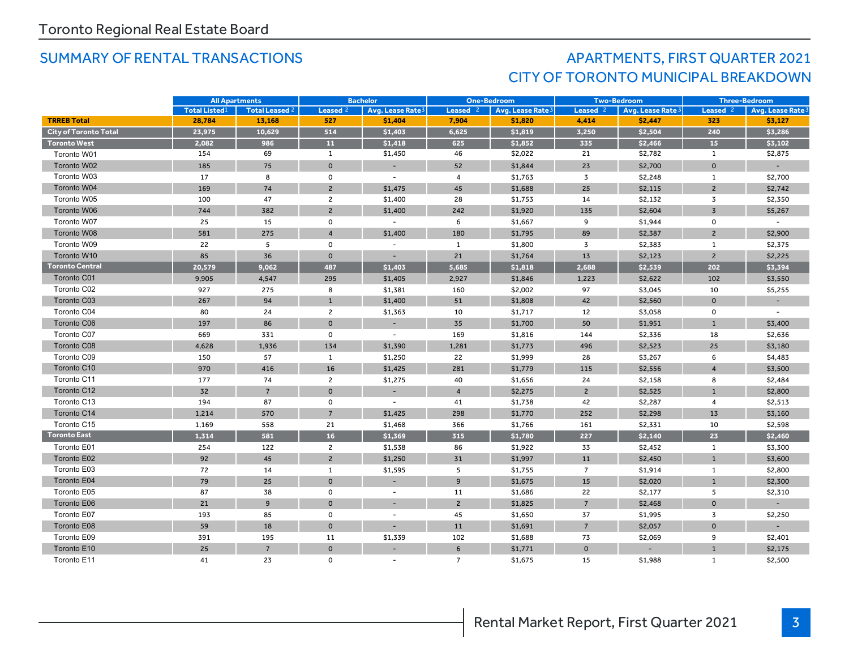## SUMMARY OF RENTAL TRANSACTIONS AND RESOLUTION APARTMENTS, FIRST QUARTER 2021 CITY OF TORONTO MUNICIPAL BREAKDOWN

|                              | <b>All Apartments</b> |                |                     | <b>Bachelor</b><br><b>One-Bedroom</b><br><b>Two-Bedroom</b> |                |                              | <b>Three-Bedroom</b> |                              |                |                          |
|------------------------------|-----------------------|----------------|---------------------|-------------------------------------------------------------|----------------|------------------------------|----------------------|------------------------------|----------------|--------------------------|
|                              | <b>Total Listed1</b>  | Total Leased 2 | Leased <sup>2</sup> | Avg. Lease Rate <sup>3</sup>                                | Leased $2$     | Avg. Lease Rate <sup>3</sup> | Leased <sup>2</sup>  | Avg. Lease Rate <sup>3</sup> | Leased $2$     | Avg. Lease Rate          |
| <b>TRREB Total</b>           | 28,784                | 13,168         | 527                 | \$1,404                                                     | 7,904          | \$1,820                      | 4,414                | \$2,447                      | 323            | \$3,127                  |
| <b>City of Toronto Total</b> | 23,975                | 10,629         | 514                 | \$1,403                                                     | 6,625          | \$1,819                      | 3,250                | \$2,504                      | 240            | \$3,286                  |
| <b>Toronto West</b>          | 2,082                 | 986            | 11                  | \$1,418                                                     | 625            | \$1,852                      | 335                  | \$2,466                      | 15             | \$3,102                  |
| Toronto W01                  | 154                   | 69             | $\mathbf{1}$        | \$1,450                                                     | 46             | \$2,022                      | 21                   | \$2,782                      | 1              | \$2,875                  |
| Toronto W02                  | 185                   | 75             | $\mathbf{0}$        |                                                             | 52             | \$1,844                      | 23                   | \$2,700                      | $\mathbf{0}$   |                          |
| Toronto W03                  | 17                    | 8              | $\mathbf 0$         |                                                             | 4              | \$1,763                      | 3                    | \$2,248                      | 1              | \$2,700                  |
| Toronto W04                  | 169                   | 74             | $\overline{2}$      | \$1,475                                                     | 45             | \$1,688                      | 25                   | \$2,115                      | $\overline{2}$ | \$2,742                  |
| Toronto W05                  | 100                   | 47             | $\overline{2}$      | \$1,400                                                     | 28             | \$1,753                      | 14                   | \$2,132                      | $\overline{3}$ | \$2,350                  |
| Toronto W06                  | 744                   | 382            | $\overline{2}$      | \$1,400                                                     | 242            | \$1,920                      | 135                  | \$2,604                      | $\overline{3}$ | \$5,267                  |
| Toronto W07                  | 25                    | 15             | $\mathsf{o}$        | $\sim$                                                      | 6              | \$1,667                      | 9                    | \$1,944                      | $\mathsf{o}$   | $\overline{\phantom{a}}$ |
| Toronto W08                  | 581                   | 275            | $\overline{4}$      | \$1,400                                                     | 180            | \$1,795                      | 89                   | \$2,387                      | $\overline{2}$ | \$2,900                  |
| Toronto W09                  | 22                    | 5              | $\mathbf 0$         | $\sim$                                                      | $\mathbf{1}$   | \$1,800                      | 3                    | \$2,383                      | 1              | \$2,375                  |
| Toronto W10                  | 85                    | 36             | $\mathbf 0$         |                                                             | 21             | \$1,764                      | 13                   | \$2,123                      | $\overline{2}$ | \$2,225                  |
| <b>Toronto Central</b>       | 20,579                | 9,062          | 487                 | \$1,403                                                     | 5,685          | \$1,818                      | 2.688                | \$2,539                      | 202            | \$3,394                  |
| Toronto C01                  | 9,905                 | 4,547          | 295                 | \$1,405                                                     | 2,927          | \$1,846                      | 1,223                | \$2,622                      | 102            | \$3,550                  |
| Toronto C02                  | 927                   | 275            | 8                   | \$1,381                                                     | 160            | \$2,002                      | 97                   | \$3,045                      | 10             | \$5,255                  |
| Toronto C03                  | 267                   | 94             | $\mathbf{1}$        | \$1,400                                                     | 51             | \$1,808                      | 42                   | \$2,560                      | $\mathbf{0}$   |                          |
| Toronto C04                  | 80                    | 24             | $\overline{2}$      | \$1,363                                                     | 10             | \$1,717                      | 12                   | \$3,058                      | $\mathsf{o}\,$ |                          |
| Toronto C06                  | 197                   | 86             | $\mathbf{0}$        |                                                             | 35             | \$1,700                      | 50                   | \$1,951                      | $\overline{1}$ | \$3,400                  |
| Toronto C07                  | 669                   | 331            | $\mathbf 0$         |                                                             | 169            | \$1,816                      | 144                  | \$2,336                      | 18             | \$2,636                  |
| Toronto C08                  | 4,628                 | 1,936          | 134                 | \$1,390                                                     | 1,281          | \$1,773                      | 496                  | \$2,523                      | 25             | \$3,180                  |
| Toronto C09                  | 150                   | 57             | 1                   | \$1,250                                                     | 22             | \$1,999                      | 28                   | \$3,267                      | 6              | \$4,483                  |
| Toronto C10                  | 970                   | 416            | 16                  | \$1,425                                                     | 281            | \$1,779                      | 115                  | \$2,556                      | $\overline{4}$ | \$3,500                  |
| Toronto C11                  | 177                   | 74             | $\overline{2}$      | \$1,275                                                     | 40             | \$1,656                      | 24                   | \$2,158                      | 8              | \$2,484                  |
| Toronto C12                  | 32                    | $\overline{7}$ | $\mathbf 0$         |                                                             | $\overline{4}$ | \$2,275                      | $\overline{2}$       | \$2,525                      | $\mathbf{1}$   | \$2,800                  |
| Toronto C13                  | 194                   | 87             | 0                   |                                                             | 41             | \$1,738                      | 42                   | \$2,287                      | $\overline{4}$ | \$2,513                  |
| Toronto C14                  | 1,214                 | 570            | $\overline{7}$      | \$1,425                                                     | 298            | \$1,770                      | 252                  | \$2,298                      | 13             | \$3,160                  |
| Toronto C15                  | 1,169                 | 558            | 21                  | \$1,468                                                     | 366            | \$1,766                      | 161                  | \$2,331                      | 10             | \$2,598                  |
| <b>Toronto East</b>          | 1,314                 | 581            | 16                  | \$1,369                                                     | 315            | \$1,780                      | 227                  | \$2,140                      | 23             | \$2,460                  |
| Toronto E01                  | 254                   | 122            | $\overline{2}$      | \$1,538                                                     | 86             | \$1,922                      | 33                   | \$2,452                      | $\mathbf{1}$   | \$3,300                  |
| Toronto E02                  | 92                    | 45             | $\overline{2}$      | \$1,250                                                     | 31             | \$1,997                      | 11                   | \$2,450                      | $\mathbf{1}$   | \$3,600                  |
| Toronto E03                  | 72                    | 14             | $\mathbf{1}$        | \$1,595                                                     | 5              | \$1,755                      | $\overline{7}$       | \$1,914                      | $\mathbf{1}$   | \$2,800                  |
| Toronto E04                  | 79                    | 25             | $\mathbf 0$         |                                                             | $\overline{9}$ | \$1,675                      | 15                   | \$2,020                      | $\mathbf{1}$   | \$2,300                  |
| Toronto E05                  | 87                    | 38             | $\mathbf 0$         |                                                             | 11             | \$1,686                      | 22                   | \$2,177                      | 5              | \$2,310                  |
| Toronto E06                  | 21                    | $\overline{9}$ | $\mathbf 0$         |                                                             | $\overline{c}$ | \$1,825                      | $\overline{7}$       | \$2,468                      | $\mathbf 0$    |                          |
| Toronto E07                  | 193                   | 85             | $\mathbf 0$         |                                                             | 45             | \$1,650                      | 37                   | \$1,995                      | 3              | \$2,250                  |
| Toronto E08                  | 59                    | 18             | $\mathbf 0$         |                                                             | 11             | \$1,691                      | $7\overline{ }$      | \$2,057                      | $\mathbf 0$    |                          |
| Toronto E09                  | 391                   | 195            | 11                  | \$1,339                                                     | 102            | \$1,688                      | 73                   | \$2,069                      | 9              | \$2,401                  |
| Toronto E10                  | 25                    | $\overline{7}$ | $\mathbf 0$         |                                                             | 6              | \$1,771                      | $\mathbf{0}$         |                              | $\mathbf{1}$   | \$2,175                  |
| Toronto E11                  | 41                    | 23             | $\mathbf 0$         |                                                             | $\overline{7}$ | \$1,675                      | 15                   | \$1,988                      | $\mathbf{1}$   | \$2,500                  |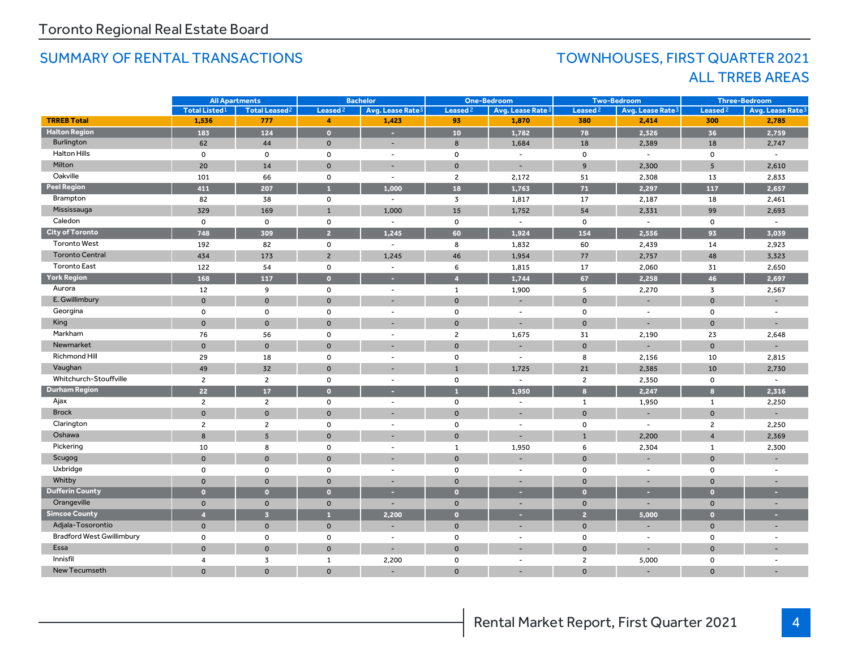### SUMMARY OF RENTAL TRANSACTIONS TOWNHOUSES, FIRST QUARTER 2021

## ALL TRREB AREAS

|                                  | <b>All Apartments</b> |                                 | <b>Bachelor</b>      |                              | <b>One-Bedroom</b>  |                              | <b>Two-Bedroom</b>  |                              | <b>Three-Bedroom</b> |                              |
|----------------------------------|-----------------------|---------------------------------|----------------------|------------------------------|---------------------|------------------------------|---------------------|------------------------------|----------------------|------------------------------|
|                                  | <b>Total Listed1</b>  | <b>Total Leased<sup>2</sup></b> | Leased <sup>2</sup>  | Avg. Lease Rate <sup>3</sup> | Leased <sup>2</sup> | Avg. Lease Rate <sup>3</sup> | Leased <sup>2</sup> | Avg. Lease Rate <sup>3</sup> | Leased <sup>2</sup>  | Avg. Lease Rate <sup>3</sup> |
| <b>TRREB Total</b>               | 1,536                 | 777                             | $\blacktriangleleft$ | 1,423                        | 93                  | 1,870                        | 380                 | 2,414                        | 300                  | 2,785                        |
| <b>Halton Region</b>             | 183                   | 124                             | $\bullet$            | ×.                           | 10 <sup>°</sup>     | 1,782                        | 78                  | 2,326                        | 36                   | 2,759                        |
| Burlington                       | 62                    | 44                              | $\mathbf{0}$         | $\sim$                       | 8                   | 1,684                        | 18                  | 2,389                        | 18                   | 2,747                        |
| <b>Halton Hills</b>              | $\mathbf 0$           | 0                               | $\mathsf{o}$         | $\blacksquare$               | $\mathbf 0$         | $\overline{\phantom{a}}$     | $\mathbf 0$         | $\blacksquare$               | $\mathbf 0$          | $\blacksquare$               |
| Milton                           | 20                    | 14                              | $\mathbf{0}$         | ш.                           | $\mathbf{0}$        | $\overline{\phantom{a}}$     | $\overline{9}$      | 2,300                        | 5                    | 2,610                        |
| Oakville                         | 101                   | 66                              | $\mathsf{o}$         | $\overline{\phantom{a}}$     | $\overline{2}$      | 2,172                        | 51                  | 2,308                        | 13                   | 2,833                        |
| <b>Peel Region</b>               | 411                   | 207                             | $\mathbf{1}$         | 1,000                        | 18                  | 1,763                        | 71                  | 2,297                        | 117                  | 2,657                        |
| Brampton                         | 82                    | 38                              | 0                    | $\overline{\phantom{a}}$     | $\overline{3}$      | 1,817                        | 17                  | 2,187                        | 18                   | 2,461                        |
| Mississauga                      | 329                   | 169                             | $\mathbf{1}$         | 1,000                        | 15                  | 1,752                        | 54                  | 2,331                        | 99                   | 2,693                        |
| Caledon                          | $\mathbf 0$           | 0                               | 0                    | $\overline{\phantom{a}}$     | $\mathbf 0$         | $\sim$                       | 0                   | $\overline{\phantom{a}}$     | 0                    | $\overline{\phantom{a}}$     |
| <b>City of Toronto</b>           | 748                   | 309                             | $\overline{2}$       | 1,245                        | 60                  | 1,924                        | 154                 | 2,556                        | 93                   | 3,039                        |
| <b>Toronto West</b>              | 192                   | 82                              | 0                    | $\overline{\phantom{a}}$     | 8                   | 1,832                        | 60                  | 2,439                        | 14                   | 2,923                        |
| <b>Toronto Central</b>           | 434                   | 173                             | $\overline{2}$       | 1.245                        | 46                  | 1,954                        | 77                  | 2,757                        | 48                   | 3,323                        |
| <b>Toronto East</b>              | 122                   | 54                              | $\mathsf{o}$         | $\sim$                       | 6                   | 1,815                        | 17                  | 2,060                        | 31                   | 2,650                        |
| <b>York Region</b>               | 168                   | 117                             | $\bullet$            | ٠                            | $\overline{4}$      | 1,744                        | 67                  | 2.258                        | 46                   | 2,697                        |
| Aurora                           | 12                    | 9                               | $\mathsf{o}$         | $\blacksquare$               | $\mathbf{1}$        | 1,900                        | 5                   | 2,270                        | 3                    | 2,567                        |
| E. Gwillimbury                   | $\Omega$              | $\mathbf{O}$                    | $\mathbf{O}$         |                              | $\mathbf{0}$        |                              | $\mathbf{0}$        |                              | $\Omega$             |                              |
| Georgina                         | $\mathbf 0$           | $\mathbf 0$                     | $\mathsf{o}$         | $\sim$                       | $\mathsf 0$         | $\sim$                       | $\mathbf 0$         | $\sim$                       | 0                    |                              |
| King                             | $\Omega$              | $\mathbf{0}$                    | $\mathbf{0}$         |                              | $\mathbf{0}$        |                              | $\bullet$           |                              | $\Omega$             |                              |
| Markham                          | 76                    | 56                              | 0                    | $\blacksquare$               | $\overline{2}$      | 1,675                        | 31                  | 2,190                        | 23                   | 2,648                        |
| Newmarket                        | $\mathbf 0$           | $\mathbf{0}$                    | $\mathbf{0}$         |                              | $\mathbf{0}$        |                              | $\mathbf{0}$        |                              | $\mathbf 0$          |                              |
| Richmond Hill                    | 29                    | 18                              | 0                    | $\sim$                       | $\mathsf 0$         | $\sim$                       | 8                   | 2,156                        | 10                   | 2,815                        |
| Vaughan                          | 49                    | 32                              | $\mathbf{0}$         |                              | $\mathbf{1}$        | 1,725                        | 21                  | 2,385                        | 10                   | 2,730                        |
| Whitchurch-Stouffville           | $\overline{2}$        | $\overline{2}$                  | 0                    | $\overline{\phantom{a}}$     | 0                   | $\sim$                       | $\overline{2}$      | 2,350                        | 0                    | $\blacksquare$               |
| <b>Durham Region</b>             | 22                    | 17                              | $\bullet$            |                              | п                   | 1,950                        | $\mathbf{8}$        | 2,247                        | $\mathbf{a}$         | 2,316                        |
| Ajax                             | $\overline{2}$        | $\overline{2}$                  | 0                    | $\blacksquare$               | 0                   | $\sim$                       | $\mathbf{1}$        | 1,950                        | $\mathbf{1}$         | 2,250                        |
| <b>Brock</b>                     | $\Omega$              | $\Omega$                        | $\Omega$             |                              | $\Omega$            | $\overline{\phantom{0}}$     | $\Omega$            |                              | $\Omega$             |                              |
| Clarington                       | $\overline{c}$        | $\overline{2}$                  | $\mathsf{o}$         | $\sim$                       | $\mathbf 0$         | $\overline{\phantom{a}}$     | $\Omega$            | $\sim$                       | $\overline{2}$       | 2,250                        |
| Oshawa                           | 8                     | 5 <sup>5</sup>                  | $\mathbf{0}$         |                              | $\mathbf{0}$        | ٠                            | $\mathbf{1}$        | 2,200                        | $\overline{4}$       | 2,369                        |
| Pickering                        | 10                    | 8                               | $\mathsf{o}$         | $\overline{\phantom{a}}$     | $\mathbf{1}$        | 1,950                        | 6                   | 2,304                        | $\mathbf{1}$         | 2,300                        |
| Scugog                           | $\Omega$              | $\mathbf{0}$                    | $\mathbf{0}$         |                              | $\mathbf{0}$        |                              | $\Omega$            |                              | $\Omega$             |                              |
| Uxbridge                         | $\mathbf 0$           | $\mathsf{o}$                    | 0                    | $\sim$                       | $\mathbf 0$         | $\overline{\phantom{a}}$     | $\Omega$            | $\sim$                       | $\mathbf 0$          | $\sim$                       |
| Whitby                           | $\Omega$              | $\mathbf{0}$                    | $\mathbf{0}$         | $\overline{\phantom{a}}$     | $\mathbf 0$         | $\overline{\phantom{a}}$     | $\mathbf{0}$        |                              | $\mathbf 0$          |                              |
| <b>Dufferin County</b>           | $\overline{0}$        | $\bullet$                       | $\bullet$            | ٠                            | $\bullet$           | н                            | $\bullet$           | ×                            | $\overline{0}$       |                              |
| Orangeville                      | $\mathbf 0$           | $\mathbf 0$                     | $\mathbf 0$          |                              | $\mathbf 0$         | ٠                            | $\mathbf{0}$        | $\sim$                       | $\mathbf 0$          |                              |
| <b>Simcoe County</b>             | $\overline{4}$        | $\overline{3}$                  | A                    | 2,200                        | $\bullet$           | ٠                            | 2 <sup>1</sup>      | 5,000                        | $\overline{0}$       | ×                            |
| Adjala-Tosorontio                | $\mathbf 0$           | $\mathbf 0$                     | $\mathbf 0$          |                              | $\mathbf 0$         | ٠                            | $\mathbf 0$         |                              | $\mathbf 0$          | $\overline{\phantom{a}}$     |
| <b>Bradford West Gwillimbury</b> | $\mathbf 0$           | 0                               | 0                    | $\overline{\phantom{a}}$     | $\mathbf 0$         | $\sim$                       | 0                   | $\sim$                       | 0                    | $\overline{\phantom{a}}$     |
| Essa                             | $\mathbf 0$           | $\mathbf 0$                     | $\mathbf 0$          |                              | $\mathbf 0$         |                              | $\mathbf{0}$        |                              | $\Omega$             |                              |
| Innisfil                         | $\overline{4}$        | 3                               | $\mathbf{1}$         | 2,200                        | 0                   | $\sim$                       | $\overline{2}$      | 5,000                        | $\mathbf 0$          | $\overline{\phantom{a}}$     |
| New Tecumseth                    | $\Omega$              | $\mathbf 0$                     | $\mathbf 0$          |                              | $\mathbf{O}$        |                              | $\mathbf{0}$        |                              | $\Omega$             |                              |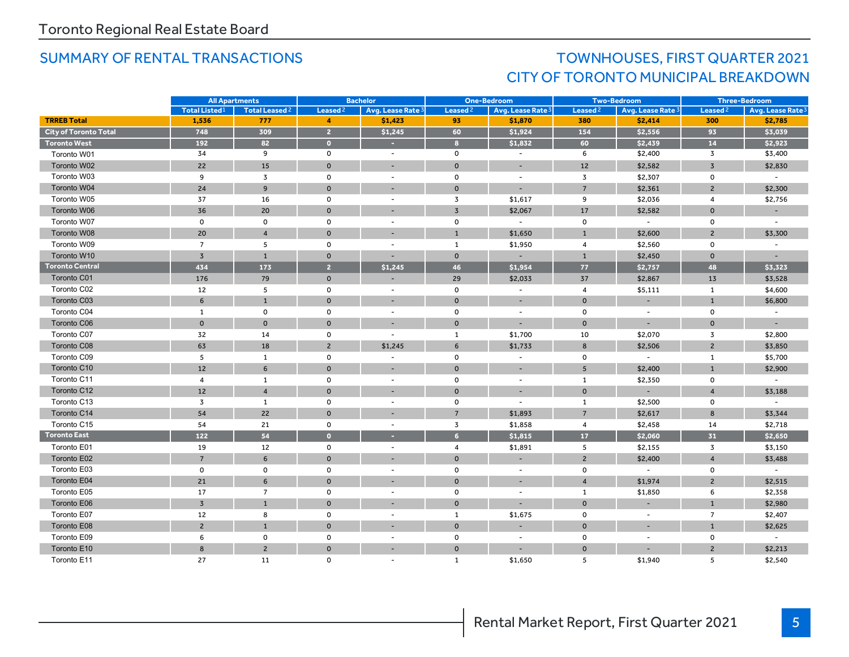## SUMMARY OF RENTAL TRANSACTIONS TOWNHOUSES, FIRST QUARTER 2021 CITY OF TORONTO MUNICIPAL BREAKDOWN

|                              |                           | <b>Bachelor</b><br><b>All Apartments</b> |                | <b>One-Bedroom</b>       |                     | <b>Two-Bedroom</b>           |                     | <b>Three-Bedroom</b>     |                     |                              |
|------------------------------|---------------------------|------------------------------------------|----------------|--------------------------|---------------------|------------------------------|---------------------|--------------------------|---------------------|------------------------------|
|                              | Total Listed <sup>1</sup> | Total Leased <sup>2</sup>                | Leased $2$     | Avg. Lease Rate 3        | Leased <sup>2</sup> | Avg. Lease Rate <sup>3</sup> | Leased <sup>2</sup> | Avg. Lease Rate 3        | Leased <sup>2</sup> | Avg. Lease Rate <sup>3</sup> |
| <b>TRREB Total</b>           | 1,536                     | 777                                      | 4              | \$1,423                  | 93                  | \$1,870                      | 380                 | \$2,414                  | 300                 | \$2,785                      |
| <b>City of Toronto Total</b> | 748                       | 309                                      | $\overline{2}$ | \$1,245                  | 60                  | \$1,924                      | 154                 | \$2,556                  | 93                  | \$3,039                      |
| <b>Toronto West</b>          | 192                       | 82                                       | $\bullet$      | $\sim$                   | $\epsilon$          | \$1,832                      | 60                  | \$2,439                  | 14                  | \$2,923                      |
| Toronto W01                  | 34                        | 9                                        | $\mathsf{o}$   | $\overline{\phantom{a}}$ | $\mathsf{o}$        | $\sim$                       | 6                   | \$2,400                  | 3                   | \$3,400                      |
| Toronto W02                  | 22                        | 15                                       | $\mathbf{0}$   | $\overline{\phantom{a}}$ | $\mathbf{0}$        | $\overline{\phantom{a}}$     | 12                  | \$2,582                  | $\overline{3}$      | \$2,830                      |
| Toronto W03                  | 9                         | $\overline{3}$                           | 0              | ÷,                       | $\mathsf 0$         | $\sim$                       | $\overline{3}$      | \$2,307                  | 0                   | $\sim$                       |
| Toronto W04                  | 24                        | 9                                        | $\mathbf{0}$   | $\overline{\phantom{a}}$ | $\mathbf{O}$        | $\sim$                       | $\overline{7}$      | \$2,361                  | $\overline{2}$      | \$2,300                      |
| Toronto W05                  | 37                        | 16                                       | $\mathbf 0$    |                          | $\overline{3}$      | \$1,617                      | 9                   | \$2,036                  | $\overline{4}$      | \$2,756                      |
| Toronto W06                  | 36                        | 20                                       | $\mathbf 0$    | ٠                        | $\overline{3}$      | \$2,067                      | 17                  | \$2,582                  | $\mathbf{0}$        |                              |
| Toronto W07                  | $\mathsf 0$               | $\mathbf 0$                              | $\mathsf{o}$   | $\overline{\phantom{a}}$ | $\mathsf 0$         | $\sim$                       | $\mathbf 0$         | $\overline{\phantom{a}}$ | $\mathsf{o}$        | $\overline{\phantom{a}}$     |
| Toronto W08                  | 20                        | $\overline{4}$                           | $\Omega$       |                          | $\overline{1}$      | \$1,650                      | $\mathbf{1}$        | \$2,600                  | $\overline{2}$      | \$3,300                      |
| Toronto W09                  | $\overline{7}$            | 5                                        | $\mathbf 0$    | ÷,                       | $\mathbf{1}$        | \$1,950                      | $\overline{4}$      | \$2,560                  | $\mathsf{O}\xspace$ |                              |
| Toronto W10                  | $\overline{3}$            | $\mathbf{1}$                             | $\mathbf 0$    |                          | $\mathbf 0$         |                              | $\mathbf{1}$        | \$2,450                  | $\mathbf{0}$        |                              |
| <b>Toronto Central</b>       | 434                       | 173                                      | $\overline{2}$ | \$1,245                  | 46                  | \$1.954                      | 77                  | \$2,757                  | 48                  | \$3,323                      |
| Toronto C01                  | 176                       | 79                                       | $\mathbf 0$    |                          | 29                  | \$2,033                      | 37                  | \$2,867                  | 13                  | \$3,528                      |
| Toronto C02                  | 12                        | 5                                        | $\mathsf{o}$   | $\overline{a}$           | $\mathsf 0$         | $\overline{\phantom{a}}$     | $\overline{4}$      | \$5,111                  | $\mathbf{1}$        | \$4,600                      |
| Toronto C03                  | 6                         | $\mathbf{1}$                             | $\mathbf 0$    |                          | $\mathbf{0}$        |                              | $\Omega$            |                          | $\mathbf{1}$        | \$6,800                      |
| Toronto C04                  | $\mathbf{1}$              | $\mathbf 0$                              | $\mathbf 0$    | $\overline{\phantom{a}}$ | $\mathsf{o}\,$      | $\overline{\phantom{a}}$     | $\mathbf 0$         | $\sim$                   | $\mathsf{o}$        | $\sim$                       |
| Toronto C06                  | $\mathbf{0}$              | $\Omega$                                 | $\mathbf{0}$   | $\overline{\phantom{a}}$ | $\mathbf 0$         |                              | $\Omega$            |                          | $\mathbf{0}$        |                              |
| Toronto C07                  | 32                        | 14                                       | 0              |                          | $\mathbf{1}$        | \$1,700                      | 10                  | \$2,070                  | 3                   | \$2,800                      |
| Toronto C08                  | 63                        | 18                                       | $\overline{2}$ | \$1,245                  | 6                   | \$1,733                      | 8                   | \$2,506                  | $\overline{2}$      | \$3,850                      |
| Toronto C09                  | 5                         | 1                                        | $\mathbf 0$    | $\overline{\phantom{a}}$ | $\mathbf 0$         | $\overline{\phantom{a}}$     | $\mathbf 0$         | $\sim$                   | $\mathbf{1}$        | \$5,700                      |
| Toronto C10                  | 12                        | 6                                        | $\mathbf{0}$   |                          | $\mathbf{0}$        | $\overline{\phantom{a}}$     | 5 <sup>5</sup>      | \$2,400                  | $\mathbf{1}$        | \$2,900                      |
| Toronto C11                  | $\overline{4}$            | 1                                        | $\mathbf 0$    | $\overline{\phantom{a}}$ | $\mathsf 0$         | $\sim$                       | $\mathbf{1}$        | \$2,350                  | 0                   | $\sim$                       |
| Toronto C12                  | 12                        | $\overline{4}$                           | $\mathbf{0}$   |                          | $\mathbf{O}$        |                              | $\Omega$            |                          | $\overline{4}$      | \$3,188                      |
| Toronto C13                  | 3                         | 1                                        | 0              | $\overline{\phantom{a}}$ | $\mathsf 0$         | $\overline{\phantom{a}}$     | 1                   | \$2,500                  | 0                   | $\sim$                       |
| Toronto C14                  | 54                        | 22                                       | $\mathbf{0}$   |                          | $\overline{7}$      | \$1,893                      | $\overline{7}$      | \$2,617                  | 8                   | \$3,344                      |
| Toronto C15                  | 54                        | 21                                       | 0              | $\sim$                   | $\overline{3}$      | \$1,858                      | $\overline{4}$      | \$2,458                  | 14                  | \$2,718                      |
| <b>Toronto East</b>          | 122                       | 54                                       | $\bullet$      | ٠                        | $6\overline{6}$     | \$1,815                      | 17                  | \$2,060                  | 31                  | \$2,650                      |
| Toronto E01                  | 19                        | 12                                       | 0              | ÷,                       | $\overline{4}$      | \$1,891                      | 5                   | \$2,155                  | 3                   | \$3,150                      |
| Toronto E02                  | $\overline{7}$            | 6                                        | $\Omega$       | $\overline{\phantom{a}}$ | $\Omega$            | $\overline{\phantom{a}}$     | $\overline{2}$      | \$2,400                  | $\overline{4}$      | \$3,488                      |
| Toronto E03                  | $\mathbf 0$               | $\mathbf 0$                              | 0              |                          | $\mathsf 0$         | $\overline{\phantom{a}}$     | $\mathbf 0$         | $\sim$                   | 0                   |                              |
| Toronto E04                  | 21                        | 6                                        | $\mathbf{0}$   | ٠                        | $\mathbf 0$         | $\overline{\phantom{a}}$     | $\overline{A}$      | \$1,974                  | $\overline{2}$      | \$2,515                      |
| Toronto E05                  | 17                        | $\overline{7}$                           | 0              | $\overline{\phantom{a}}$ | $\mathsf{o}$        | $\overline{\phantom{a}}$     | 1                   | \$1,850                  | 6                   | \$2,358                      |
| Toronto E06                  | $\overline{3}$            | $\mathbf{1}$                             | $\mathbf{0}$   |                          | $\mathbf{0}$        | ٠                            | $\mathbf{0}$        |                          | $\mathbf{1}$        | \$2,980                      |
| Toronto E07                  | 12                        | 8                                        | $\mathsf{o}$   | $\overline{\phantom{a}}$ | $\mathbf{1}$        | \$1,675                      | $\Omega$            | $\sim$                   | $\overline{7}$      | \$2,407                      |
| Toronto E08                  | $\overline{2}$            | $\mathbf{1}$                             | $\mathbf 0$    |                          | $\mathbf{0}$        |                              | $\mathbf{0}$        |                          | $\mathbf{1}$        | \$2,625                      |
| Toronto E09                  | 6                         | $\mathbf 0$                              | 0              | $\sim$                   | $\mathsf 0$         | $\overline{\phantom{a}}$     | $\mathbf 0$         |                          | 0                   | $\sim$                       |
| Toronto E10                  | 8                         | $\overline{2}$                           | $\mathbf{0}$   |                          | $\mathbf{0}$        |                              | $\Omega$            |                          | $\overline{2}$      | \$2,213                      |
| Toronto E11                  | 27                        | 11                                       | 0              |                          | 1                   | \$1,650                      | 5                   | \$1,940                  | 5                   | \$2,540                      |